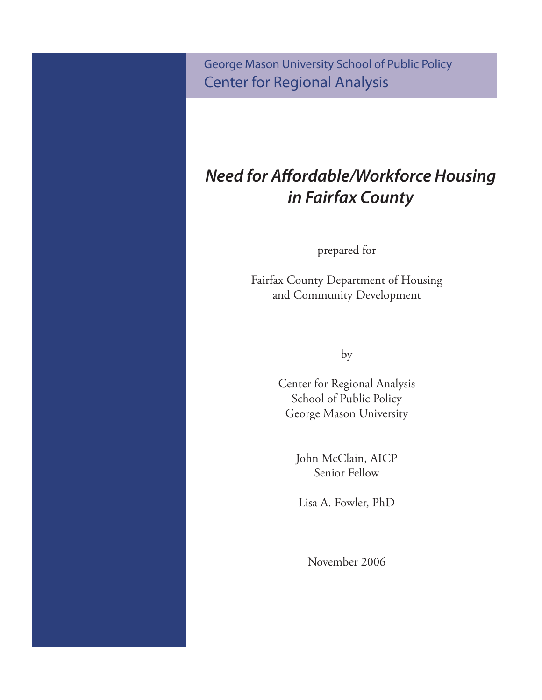George Mason University School of Public Policy Center for Regional Analysis

# *Need for Affordable/Workforce Housing in Fairfax County*

prepared for

Fairfax County Department of Housing and Community Development

by

Center for Regional Analysis School of Public Policy George Mason University

> John McClain, AICP Senior Fellow

Lisa A. Fowler, PhD

November 2006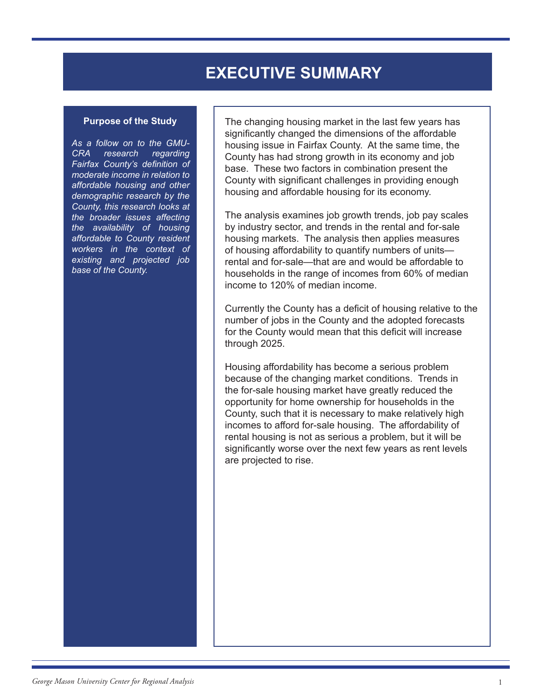## **EXECUTIVE SUMMARY**

#### **Purpose of the Study**

*As a follow on to the GMU-CRA research regarding Fairfax County's definition of moderate income in relation to affordable housing and other demographic research by the County, this research looks at the broader issues affecting the availability of housing affordable to County resident workers in the context of existing and projected job base of the County.* 

The changing housing market in the last few years has significantly changed the dimensions of the affordable housing issue in Fairfax County. At the same time, the County has had strong growth in its economy and job base. These two factors in combination present the County with significant challenges in providing enough housing and affordable housing for its economy.

The analysis examines job growth trends, job pay scales by industry sector, and trends in the rental and for-sale housing markets. The analysis then applies measures of housing affordability to quantify numbers of units rental and for-sale—that are and would be affordable to households in the range of incomes from 60% of median income to 120% of median income.

Currently the County has a deficit of housing relative to the number of jobs in the County and the adopted forecasts for the County would mean that this deficit will increase through 2025.

Housing affordability has become a serious problem because of the changing market conditions. Trends in the for-sale housing market have greatly reduced the opportunity for home ownership for households in the County, such that it is necessary to make relatively high incomes to afford for-sale housing. The affordability of rental housing is not as serious a problem, but it will be significantly worse over the next few years as rent levels are projected to rise.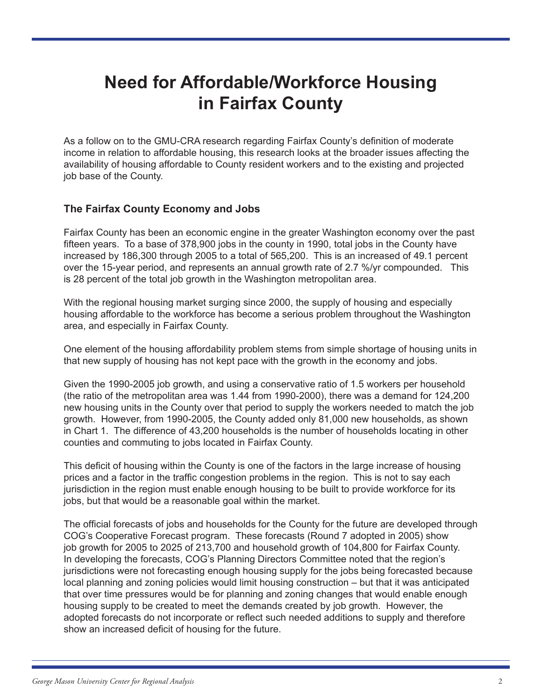# **Need for Affordable/Workforce Housing in Fairfax County**

As a follow on to the GMU-CRA research regarding Fairfax County's definition of moderate income in relation to affordable housing, this research looks at the broader issues affecting the availability of housing affordable to County resident workers and to the existing and projected job base of the County.

## **The Fairfax County Economy and Jobs**

Fairfax County has been an economic engine in the greater Washington economy over the past fifteen years. To a base of 378,900 jobs in the county in 1990, total jobs in the County have increased by 186,300 through 2005 to a total of 565,200. This is an increased of 49.1 percent over the 15-year period, and represents an annual growth rate of 2.7 %/yr compounded. This is 28 percent of the total job growth in the Washington metropolitan area.

With the regional housing market surging since 2000, the supply of housing and especially housing affordable to the workforce has become a serious problem throughout the Washington area, and especially in Fairfax County.

One element of the housing affordability problem stems from simple shortage of housing units in that new supply of housing has not kept pace with the growth in the economy and jobs.

Given the 1990-2005 job growth, and using a conservative ratio of 1.5 workers per household (the ratio of the metropolitan area was 1.44 from 1990-2000), there was a demand for 124,200 new housing units in the County over that period to supply the workers needed to match the job growth. However, from 1990-2005, the County added only 81,000 new households, as shown in Chart 1. The difference of 43,200 households is the number of households locating in other counties and commuting to jobs located in Fairfax County.

This deficit of housing within the County is one of the factors in the large increase of housing prices and a factor in the traffic congestion problems in the region. This is not to say each jurisdiction in the region must enable enough housing to be built to provide workforce for its jobs, but that would be a reasonable goal within the market.

The official forecasts of jobs and households for the County for the future are developed through COG's Cooperative Forecast program. These forecasts (Round 7 adopted in 2005) show job growth for 2005 to 2025 of 213,700 and household growth of 104,800 for Fairfax County. In developing the forecasts, COG's Planning Directors Committee noted that the region's jurisdictions were not forecasting enough housing supply for the jobs being forecasted because local planning and zoning policies would limit housing construction – but that it was anticipated that over time pressures would be for planning and zoning changes that would enable enough housing supply to be created to meet the demands created by job growth. However, the adopted forecasts do not incorporate or reflect such needed additions to supply and therefore show an increased deficit of housing for the future.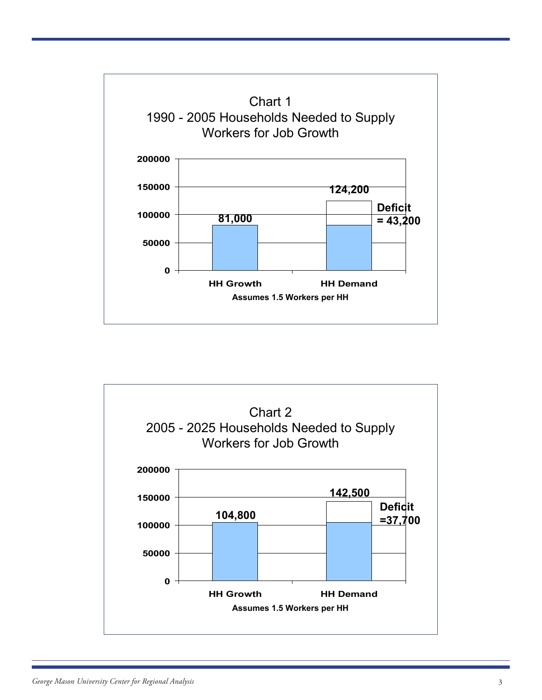

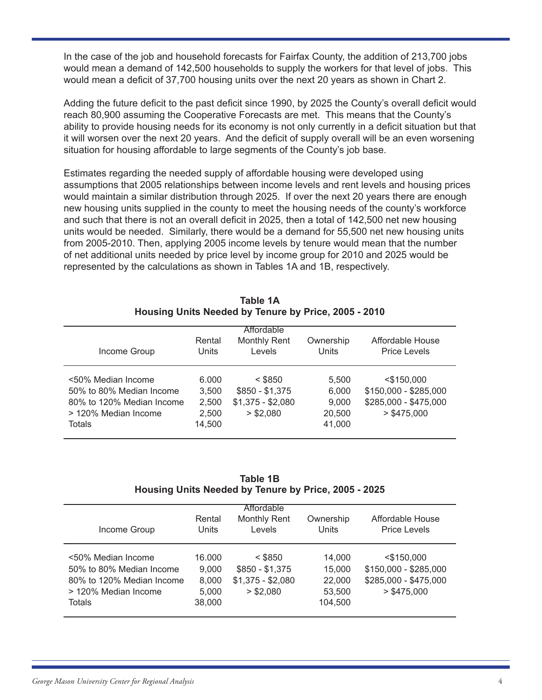In the case of the job and household forecasts for Fairfax County, the addition of 213,700 jobs would mean a demand of 142,500 households to supply the workers for that level of jobs. This would mean a deficit of 37,700 housing units over the next 20 years as shown in Chart 2.

Adding the future deficit to the past deficit since 1990, by 2025 the County's overall deficit would reach 80,900 assuming the Cooperative Forecasts are met. This means that the County's ability to provide housing needs for its economy is not only currently in a deficit situation but that it will worsen over the next 20 years. And the deficit of supply overall will be an even worsening situation for housing affordable to large segments of the County's job base.

Estimates regarding the needed supply of affordable housing were developed using assumptions that 2005 relationships between income levels and rent levels and housing prices would maintain a similar distribution through 2025. If over the next 20 years there are enough new housing units supplied in the county to meet the housing needs of the county's workforce and such that there is not an overall deficit in 2025, then a total of 142,500 net new housing units would be needed. Similarly, there would be a demand for 55,500 net new housing units from 2005-2010. Then, applying 2005 income levels by tenure would mean that the number of net additional units needed by price level by income group for 2010 and 2025 would be represented by the calculations as shown in Tables 1A and 1B, respectively.

| Income Group                                                                                                         | Rental<br><b>Units</b>                     | Affordable<br><b>Monthly Rent</b><br>Levels                    | Ownership<br>Units                          | Affordable House<br><b>Price Levels</b>                                        |
|----------------------------------------------------------------------------------------------------------------------|--------------------------------------------|----------------------------------------------------------------|---------------------------------------------|--------------------------------------------------------------------------------|
| <50% Median Income<br>50% to 80% Median Income<br>80% to 120% Median Income<br>> 120% Median Income<br><b>Totals</b> | 6.000<br>3,500<br>2,500<br>2,500<br>14,500 | $<$ \$850<br>$$850 - $1,375$<br>$$1,375 - $2,080$<br>> \$2,080 | 5,500<br>6,000<br>9,000<br>20,500<br>41,000 | $<$ \$150,000<br>\$150,000 - \$285,000<br>\$285,000 - \$475,000<br>> \$475,000 |

**Table 1A Housing Units Needed by Tenure by Price, 2005 - 2010**

**Table 1B Housing Units Needed by Tenure by Price, 2005 - 2025**

| Income Group                                                                                                  | Rental<br>Units                             | Affordable<br><b>Monthly Rent</b><br>Levels                    | Ownership<br>Units                              | Affordable House<br><b>Price Levels</b>                                          |
|---------------------------------------------------------------------------------------------------------------|---------------------------------------------|----------------------------------------------------------------|-------------------------------------------------|----------------------------------------------------------------------------------|
| <50% Median Income<br>50% to 80% Median Income<br>80% to 120% Median Income<br>> 120% Median Income<br>Totals | 16.000<br>9.000<br>8,000<br>5,000<br>38,000 | $<$ \$850<br>$$850 - $1,375$<br>$$1,375 - $2,080$<br>> \$2.080 | 14,000<br>15,000<br>22,000<br>53,500<br>104,500 | $<$ \$150,000<br>\$150,000 - \$285,000<br>\$285,000 - \$475,000<br>$>$ \$475.000 |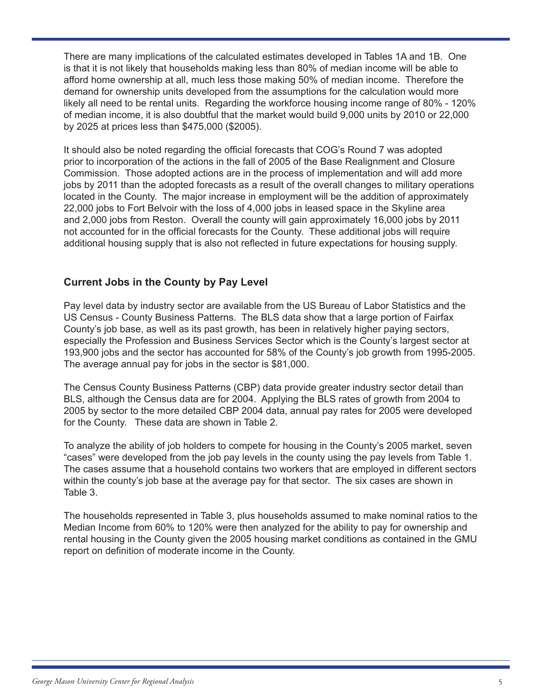There are many implications of the calculated estimates developed in Tables 1A and 1B. One is that it is not likely that households making less than 80% of median income will be able to afford home ownership at all, much less those making 50% of median income. Therefore the demand for ownership units developed from the assumptions for the calculation would more likely all need to be rental units. Regarding the workforce housing income range of 80% - 120% of median income, it is also doubtful that the market would build 9,000 units by 2010 or 22,000 by 2025 at prices less than \$475,000 (\$2005).

It should also be noted regarding the official forecasts that COG's Round 7 was adopted prior to incorporation of the actions in the fall of 2005 of the Base Realignment and Closure Commission. Those adopted actions are in the process of implementation and will add more jobs by 2011 than the adopted forecasts as a result of the overall changes to military operations located in the County. The major increase in employment will be the addition of approximately 22,000 jobs to Fort Belvoir with the loss of 4,000 jobs in leased space in the Skyline area and 2,000 jobs from Reston. Overall the county will gain approximately 16,000 jobs by 2011 not accounted for in the official forecasts for the County. These additional jobs will require additional housing supply that is also not reflected in future expectations for housing supply.

## **Current Jobs in the County by Pay Level**

Pay level data by industry sector are available from the US Bureau of Labor Statistics and the US Census - County Business Patterns. The BLS data show that a large portion of Fairfax County's job base, as well as its past growth, has been in relatively higher paying sectors, especially the Profession and Business Services Sector which is the County's largest sector at 193,900 jobs and the sector has accounted for 58% of the County's job growth from 1995-2005. The average annual pay for jobs in the sector is \$81,000.

The Census County Business Patterns (CBP) data provide greater industry sector detail than BLS, although the Census data are for 2004. Applying the BLS rates of growth from 2004 to 2005 by sector to the more detailed CBP 2004 data, annual pay rates for 2005 were developed for the County. These data are shown in Table 2.

To analyze the ability of job holders to compete for housing in the County's 2005 market, seven "cases" were developed from the job pay levels in the county using the pay levels from Table 1. The cases assume that a household contains two workers that are employed in different sectors within the county's job base at the average pay for that sector. The six cases are shown in Table 3.

The households represented in Table 3, plus households assumed to make nominal ratios to the Median Income from 60% to 120% were then analyzed for the ability to pay for ownership and rental housing in the County given the 2005 housing market conditions as contained in the GMU report on definition of moderate income in the County.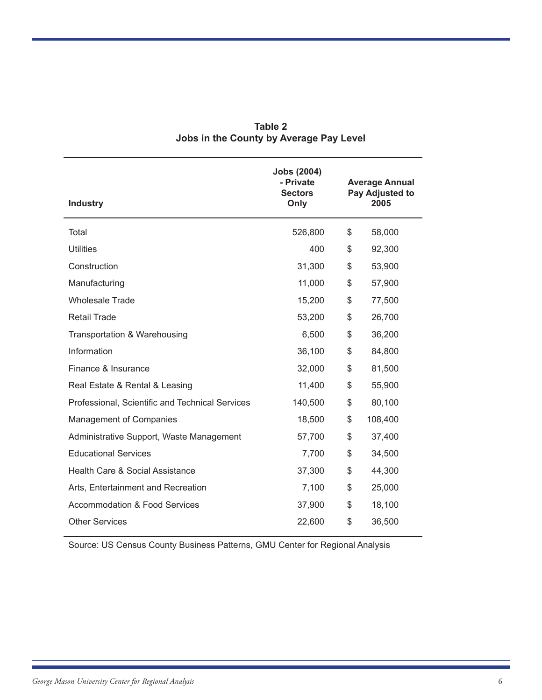| <b>Industry</b>                                 | <b>Jobs (2004)</b><br>- Private<br><b>Sectors</b><br>Only | <b>Average Annual</b><br>Pay Adjusted to<br>2005 |
|-------------------------------------------------|-----------------------------------------------------------|--------------------------------------------------|
| Total                                           | 526,800                                                   | \$<br>58,000                                     |
| <b>Utilities</b>                                | 400                                                       | \$<br>92,300                                     |
| Construction                                    | 31,300                                                    | \$<br>53,900                                     |
| Manufacturing                                   | 11,000                                                    | \$<br>57,900                                     |
| <b>Wholesale Trade</b>                          | 15,200                                                    | \$<br>77,500                                     |
| <b>Retail Trade</b>                             | 53,200                                                    | \$<br>26,700                                     |
| Transportation & Warehousing                    | 6,500                                                     | \$<br>36,200                                     |
| Information                                     | 36,100                                                    | \$<br>84,800                                     |
| Finance & Insurance                             | 32,000                                                    | \$<br>81,500                                     |
| Real Estate & Rental & Leasing                  | 11,400                                                    | \$<br>55,900                                     |
| Professional, Scientific and Technical Services | 140,500                                                   | \$<br>80,100                                     |
| Management of Companies                         | 18,500                                                    | \$<br>108,400                                    |
| Administrative Support, Waste Management        | 57,700                                                    | \$<br>37,400                                     |
| <b>Educational Services</b>                     | 7,700                                                     | \$<br>34,500                                     |
| <b>Health Care &amp; Social Assistance</b>      | 37,300                                                    | \$<br>44,300                                     |
| Arts, Entertainment and Recreation              | 7,100                                                     | \$<br>25,000                                     |
| <b>Accommodation &amp; Food Services</b>        | 37,900                                                    | \$<br>18,100                                     |
| <b>Other Services</b>                           | 22,600                                                    | \$<br>36,500                                     |
|                                                 |                                                           |                                                  |

## **Table 2 Jobs in the County by Average Pay Level**

Source: US Census County Business Patterns, GMU Center for Regional Analysis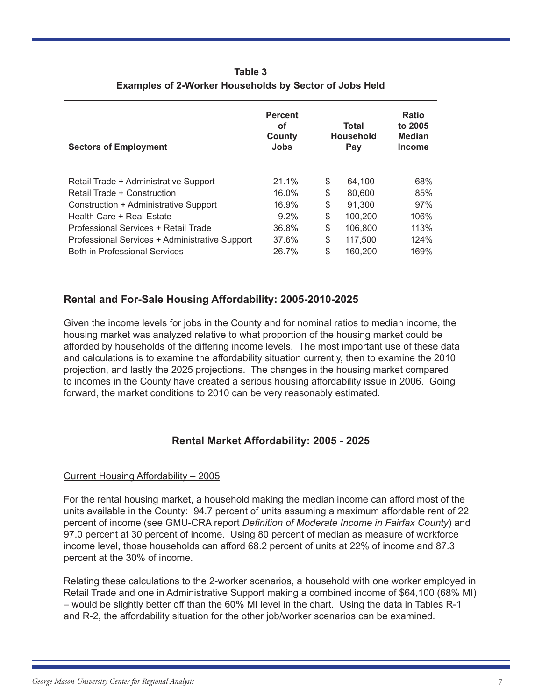| <b>Sectors of Employment</b>                   | <b>Percent</b><br>οf<br>County<br>Jobs | Total<br><b>Household</b><br>Pay | <b>Ratio</b><br>to 2005<br><b>Median</b><br><b>Income</b> |
|------------------------------------------------|----------------------------------------|----------------------------------|-----------------------------------------------------------|
|                                                |                                        |                                  |                                                           |
| Retail Trade + Administrative Support          | 21.1%                                  | \$<br>64.100                     | 68%                                                       |
| Retail Trade + Construction                    | 16.0%                                  | \$<br>80,600                     | 85%                                                       |
| Construction + Administrative Support          | 16.9%                                  | \$<br>91.300                     | 97%                                                       |
| Health Care + Real Estate                      | $9.2\%$                                | \$<br>100.200                    | 106%                                                      |
| Professional Services + Retail Trade           | 36.8%                                  | \$<br>106,800                    | 113%                                                      |
| Professional Services + Administrative Support | 37.6%                                  | \$<br>117.500                    | 124%                                                      |
| <b>Both in Professional Services</b>           | 26.7%                                  | \$<br>160,200                    | 169%                                                      |

**Table 3 Examples of 2-Worker Households by Sector of Jobs Held**

## **Rental and For-Sale Housing Affordability: 2005-2010-2025**

Given the income levels for jobs in the County and for nominal ratios to median income, the housing market was analyzed relative to what proportion of the housing market could be afforded by households of the differing income levels. The most important use of these data and calculations is to examine the affordability situation currently, then to examine the 2010 projection, and lastly the 2025 projections. The changes in the housing market compared to incomes in the County have created a serious housing affordability issue in 2006. Going forward, the market conditions to 2010 can be very reasonably estimated.

## **Rental Market Affordability: 2005 - 2025**

## Current Housing Affordability – 2005

For the rental housing market, a household making the median income can afford most of the units available in the County: 94.7 percent of units assuming a maximum affordable rent of 22 percent of income (see GMU-CRA report *Definition of Moderate Income in Fairfax County*) and 97.0 percent at 30 percent of income. Using 80 percent of median as measure of workforce income level, those households can afford 68.2 percent of units at 22% of income and 87.3 percent at the 30% of income.

Relating these calculations to the 2-worker scenarios, a household with one worker employed in Retail Trade and one in Administrative Support making a combined income of \$64,100 (68% MI) – would be slightly better off than the 60% MI level in the chart. Using the data in Tables R-1 and R-2, the affordability situation for the other job/worker scenarios can be examined.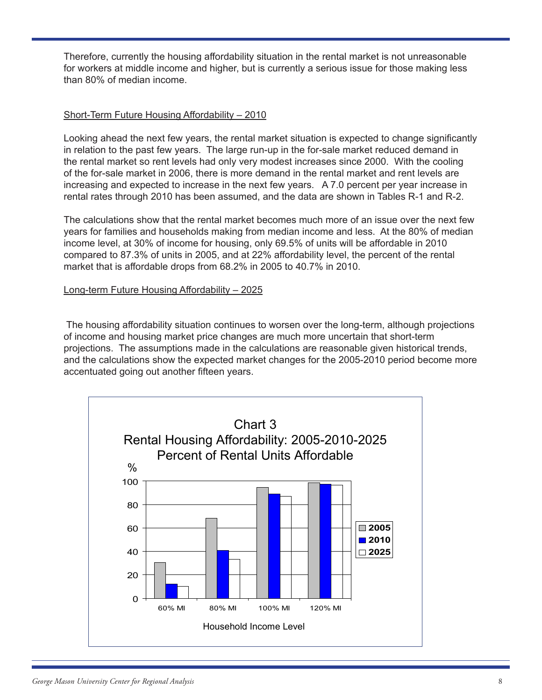Therefore, currently the housing affordability situation in the rental market is not unreasonable for workers at middle income and higher, but is currently a serious issue for those making less than 80% of median income.

## Short-Term Future Housing Affordability – 2010

Looking ahead the next few years, the rental market situation is expected to change significantly in relation to the past few years. The large run-up in the for-sale market reduced demand in the rental market so rent levels had only very modest increases since 2000. With the cooling of the for-sale market in 2006, there is more demand in the rental market and rent levels are increasing and expected to increase in the next few years. A 7.0 percent per year increase in rental rates through 2010 has been assumed, and the data are shown in Tables R-1 and R-2.

The calculations show that the rental market becomes much more of an issue over the next few years for families and households making from median income and less. At the 80% of median income level, at 30% of income for housing, only 69.5% of units will be affordable in 2010 compared to 87.3% of units in 2005, and at 22% affordability level, the percent of the rental market that is affordable drops from 68.2% in 2005 to 40.7% in 2010.

## Long-term Future Housing Affordability – 2025

 The housing affordability situation continues to worsen over the long-term, although projections of income and housing market price changes are much more uncertain that short-term projections. The assumptions made in the calculations are reasonable given historical trends, and the calculations show the expected market changes for the 2005-2010 period become more accentuated going out another fifteen years.

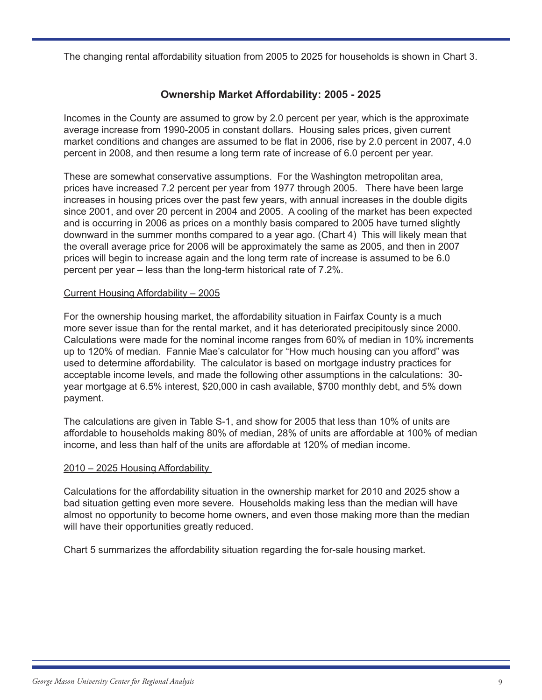The changing rental affordability situation from 2005 to 2025 for households is shown in Chart 3.

## **Ownership Market Affordability: 2005 - 2025**

Incomes in the County are assumed to grow by 2.0 percent per year, which is the approximate average increase from 1990-2005 in constant dollars. Housing sales prices, given current market conditions and changes are assumed to be flat in 2006, rise by 2.0 percent in 2007, 4.0 percent in 2008, and then resume a long term rate of increase of 6.0 percent per year.

These are somewhat conservative assumptions. For the Washington metropolitan area, prices have increased 7.2 percent per year from 1977 through 2005. There have been large increases in housing prices over the past few years, with annual increases in the double digits since 2001, and over 20 percent in 2004 and 2005. A cooling of the market has been expected and is occurring in 2006 as prices on a monthly basis compared to 2005 have turned slightly downward in the summer months compared to a year ago. (Chart 4) This will likely mean that the overall average price for 2006 will be approximately the same as 2005, and then in 2007 prices will begin to increase again and the long term rate of increase is assumed to be 6.0 percent per year – less than the long-term historical rate of 7.2%.

#### Current Housing Affordability – 2005

For the ownership housing market, the affordability situation in Fairfax County is a much more sever issue than for the rental market, and it has deteriorated precipitously since 2000. Calculations were made for the nominal income ranges from 60% of median in 10% increments up to 120% of median. Fannie Mae's calculator for "How much housing can you afford" was used to determine affordability. The calculator is based on mortgage industry practices for acceptable income levels, and made the following other assumptions in the calculations: 30 year mortgage at 6.5% interest, \$20,000 in cash available, \$700 monthly debt, and 5% down payment.

The calculations are given in Table S-1, and show for 2005 that less than 10% of units are affordable to households making 80% of median, 28% of units are affordable at 100% of median income, and less than half of the units are affordable at 120% of median income.

## 2010 – 2025 Housing Affordability

Calculations for the affordability situation in the ownership market for 2010 and 2025 show a bad situation getting even more severe. Households making less than the median will have almost no opportunity to become home owners, and even those making more than the median will have their opportunities greatly reduced.

Chart 5 summarizes the affordability situation regarding the for-sale housing market.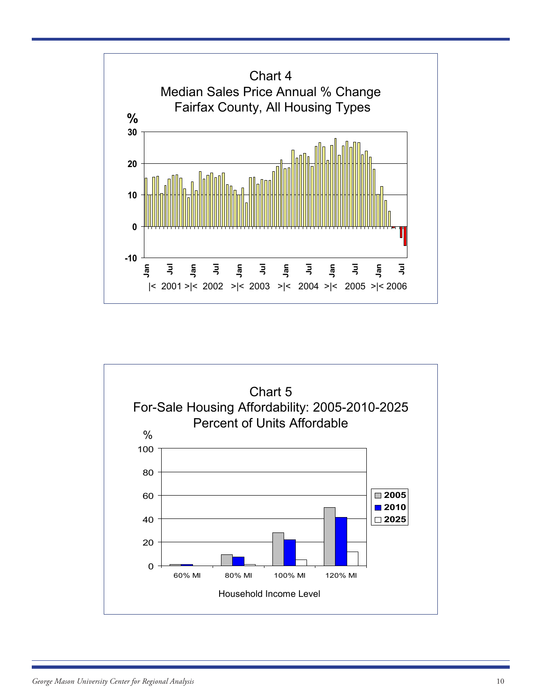

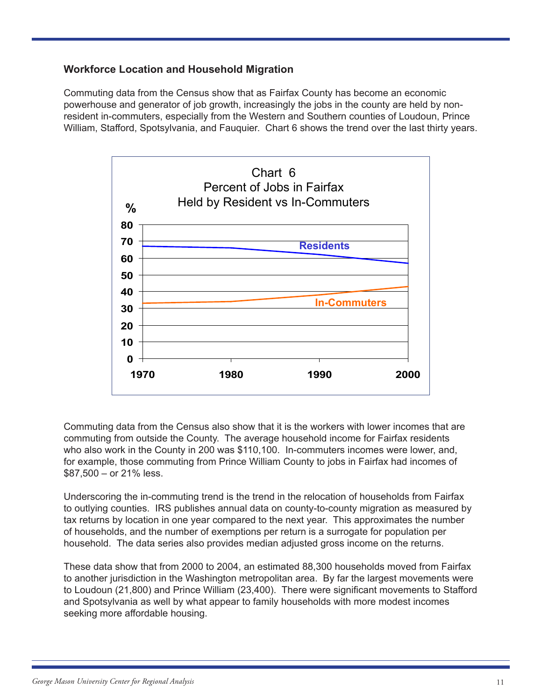## **Workforce Location and Household Migration**

Commuting data from the Census show that as Fairfax County has become an economic powerhouse and generator of job growth, increasingly the jobs in the county are held by nonresident in-commuters, especially from the Western and Southern counties of Loudoun, Prince William, Stafford, Spotsylvania, and Fauquier. Chart 6 shows the trend over the last thirty years.



Commuting data from the Census also show that it is the workers with lower incomes that are commuting from outside the County. The average household income for Fairfax residents who also work in the County in 200 was \$110,100. In-commuters incomes were lower, and, for example, those commuting from Prince William County to jobs in Fairfax had incomes of \$87,500 – or 21% less.

Underscoring the in-commuting trend is the trend in the relocation of households from Fairfax to outlying counties. IRS publishes annual data on county-to-county migration as measured by tax returns by location in one year compared to the next year. This approximates the number of households, and the number of exemptions per return is a surrogate for population per household. The data series also provides median adjusted gross income on the returns.

These data show that from 2000 to 2004, an estimated 88,300 households moved from Fairfax to another jurisdiction in the Washington metropolitan area. By far the largest movements were to Loudoun (21,800) and Prince William (23,400). There were significant movements to Stafford and Spotsylvania as well by what appear to family households with more modest incomes seeking more affordable housing.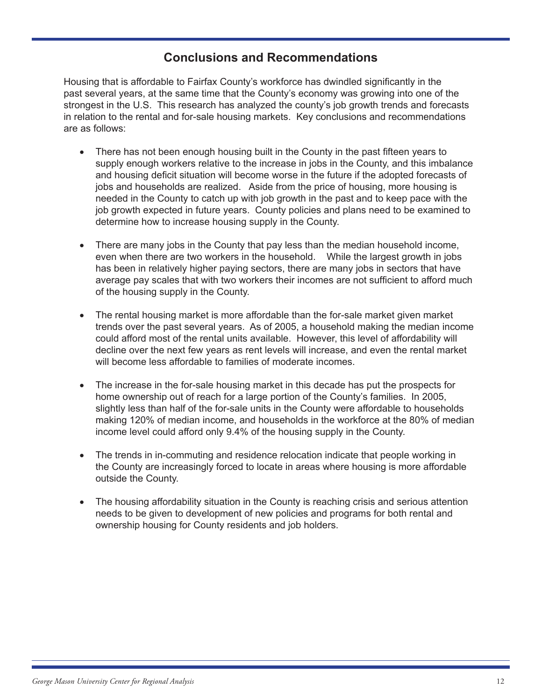## **Conclusions and Recommendations**

Housing that is affordable to Fairfax County's workforce has dwindled significantly in the past several years, at the same time that the County's economy was growing into one of the strongest in the U.S. This research has analyzed the county's job growth trends and forecasts in relation to the rental and for-sale housing markets. Key conclusions and recommendations are as follows:

- There has not been enough housing built in the County in the past fifteen years to supply enough workers relative to the increase in jobs in the County, and this imbalance and housing deficit situation will become worse in the future if the adopted forecasts of jobs and households are realized. Aside from the price of housing, more housing is needed in the County to catch up with job growth in the past and to keep pace with the job growth expected in future years. County policies and plans need to be examined to determine how to increase housing supply in the County.
- There are many jobs in the County that pay less than the median household income, even when there are two workers in the household. While the largest growth in jobs has been in relatively higher paying sectors, there are many jobs in sectors that have average pay scales that with two workers their incomes are not sufficient to afford much of the housing supply in the County.
- The rental housing market is more affordable than the for-sale market given market trends over the past several years. As of 2005, a household making the median income could afford most of the rental units available. However, this level of affordability will decline over the next few years as rent levels will increase, and even the rental market will become less affordable to families of moderate incomes.
- The increase in the for-sale housing market in this decade has put the prospects for home ownership out of reach for a large portion of the County's families. In 2005, slightly less than half of the for-sale units in the County were affordable to households making 120% of median income, and households in the workforce at the 80% of median income level could afford only 9.4% of the housing supply in the County.
- The trends in in-commuting and residence relocation indicate that people working in the County are increasingly forced to locate in areas where housing is more affordable outside the County.
- The housing affordability situation in the County is reaching crisis and serious attention needs to be given to development of new policies and programs for both rental and ownership housing for County residents and job holders.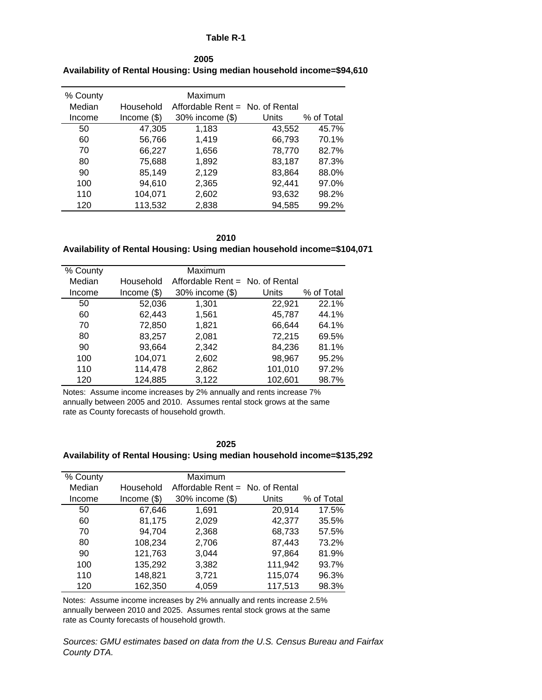#### **Table R-1**

| % County |               | Maximum                         |        |            |
|----------|---------------|---------------------------------|--------|------------|
| Median   | Household     | Affordable Rent = No. of Rental |        |            |
| Income   | Income $(\$)$ | 30% income (\$)                 | Units  | % of Total |
| 50       | 47,305        | 1,183                           | 43,552 | 45.7%      |
| 60       | 56,766        | 1,419                           | 66,793 | 70.1%      |
| 70       | 66,227        | 1,656                           | 78,770 | 82.7%      |
| 80       | 75,688        | 1,892                           | 83,187 | 87.3%      |
| 90       | 85,149        | 2,129                           | 83,864 | 88.0%      |
| 100      | 94.610        | 2,365                           | 92,441 | 97.0%      |
| 110      | 104,071       | 2,602                           | 93,632 | 98.2%      |
| 120      | 113,532       | 2.838                           | 94.585 | 99.2%      |

| 2005                                                                   |
|------------------------------------------------------------------------|
| Availability of Rental Housing: Using median household income=\$94,610 |

**2010**

#### **Availability of Rental Housing: Using median household income=\$104,071**

| % County |               | Maximum                           |         |            |
|----------|---------------|-----------------------------------|---------|------------|
| Median   | Household     | Affordable Rent $=$ No. of Rental |         |            |
| Income   | Income $(\$)$ | 30% income (\$)                   | Units   | % of Total |
| 50       | 52,036        | 1,301                             | 22,921  | 22.1%      |
| 60       | 62,443        | 1,561                             | 45,787  | 44.1%      |
| 70       | 72,850        | 1,821                             | 66,644  | 64.1%      |
| 80       | 83,257        | 2,081                             | 72,215  | 69.5%      |
| 90       | 93,664        | 2,342                             | 84,236  | 81.1%      |
| 100      | 104,071       | 2,602                             | 98,967  | 95.2%      |
| 110      | 114,478       | 2,862                             | 101,010 | 97.2%      |
| 120      | 124,885       | 3,122                             | 102,601 | 98.7%      |

Notes: Assume income increases by 2% annually and rents increase 7% annually between 2005 and 2010. Assumes rental stock grows at the same rate as County forecasts of household growth.

#### **2025**

#### **Availability of Rental Housing: Using median household income=\$135,292**

| % County |               | Maximum                           |              |            |
|----------|---------------|-----------------------------------|--------------|------------|
| Median   | Household     | Affordable Rent $=$ No. of Rental |              |            |
| Income   | Income $(\$)$ | 30% income (\$)                   | <b>Units</b> | % of Total |
| 50       | 67,646        | 1,691                             | 20,914       | 17.5%      |
| 60       | 81,175        | 2,029                             | 42,377       | 35.5%      |
| 70       | 94,704        | 2,368                             | 68,733       | 57.5%      |
| 80       | 108,234       | 2,706                             | 87,443       | 73.2%      |
| 90       | 121,763       | 3,044                             | 97,864       | 81.9%      |
| 100      | 135,292       | 3,382                             | 111,942      | 93.7%      |
| 110      | 148,821       | 3,721                             | 115,074      | 96.3%      |
| 120      | 162,350       | 4,059                             | 117,513      | 98.3%      |

Notes: Assume income increases by 2% annually and rents increase 2.5% annually berween 2010 and 2025. Assumes rental stock grows at the same rate as County forecasts of household growth.

*Sources: GMU estimates based on data from the U.S. Census Bureau and Fairfax County DTA.*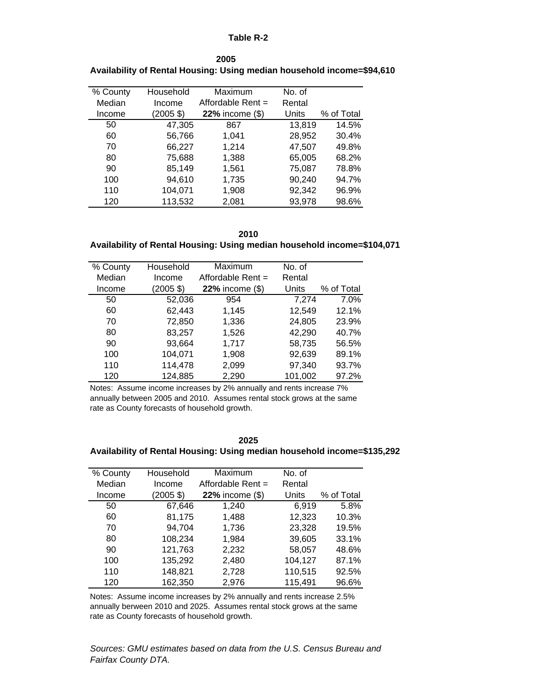#### **Table R-2**

| % County | Household   | Maximum              | No. of |            |
|----------|-------------|----------------------|--------|------------|
| Median   | Income      | Affordable Rent =    | Rental |            |
| Income   | $(2005$ \$) | $22\%$ income $(\$)$ | Units  | % of Total |
| 50       | 47,305      | 867                  | 13,819 | 14.5%      |
| 60       | 56,766      | 1,041                | 28,952 | 30.4%      |
| 70       | 66,227      | 1,214                | 47,507 | 49.8%      |
| 80       | 75,688      | 1,388                | 65,005 | 68.2%      |
| 90       | 85,149      | 1,561                | 75,087 | 78.8%      |
| 100      | 94,610      | 1,735                | 90,240 | 94.7%      |
| 110      | 104,071     | 1,908                | 92,342 | 96.9%      |
| 120      | 113,532     | 2,081                | 93,978 | 98.6%      |

**Availability of Rental Housing: Using median household income=\$94,610 2005**

**2010**

#### **Availability of Rental Housing: Using median household income=\$104,071**

| % County | Household   | Maximum              | No. of  |            |
|----------|-------------|----------------------|---------|------------|
| Median   | Income      | Affordable Rent =    | Rental  |            |
| Income   | $(2005$ \$) | $22\%$ income $(\$)$ | Units   | % of Total |
| 50       | 52,036      | 954                  | 7,274   | 7.0%       |
| 60       | 62,443      | 1,145                | 12,549  | 12.1%      |
| 70       | 72,850      | 1,336                | 24,805  | 23.9%      |
| 80       | 83,257      | 1,526                | 42,290  | 40.7%      |
| 90       | 93,664      | 1,717                | 58,735  | 56.5%      |
| 100      | 104,071     | 1,908                | 92,639  | 89.1%      |
| 110      | 114,478     | 2,099                | 97,340  | 93.7%      |
| 120      | 124,885     | 2,290                | 101,002 | 97.2%      |

Notes: Assume income increases by 2% annually and rents increase 7% annually between 2005 and 2010. Assumes rental stock grows at the same rate as County forecasts of household growth.

| ×<br>۰,<br>٩ |
|--------------|
|--------------|

#### **Availability of Rental Housing: Using median household income=\$135,292**

| % County | Household   | Maximum              | No. of  |            |
|----------|-------------|----------------------|---------|------------|
| Median   | Income      | Affordable Rent =    | Rental  |            |
| Income   | $(2005$ \$) | $22\%$ income $(\$)$ | Units   | % of Total |
| 50       | 67,646      | 1,240                | 6.919   | 5.8%       |
| 60       | 81,175      | 1,488                | 12,323  | 10.3%      |
| 70       | 94,704      | 1,736                | 23,328  | 19.5%      |
| 80       | 108,234     | 1,984                | 39,605  | 33.1%      |
| 90       | 121,763     | 2,232                | 58,057  | 48.6%      |
| 100      | 135,292     | 2,480                | 104,127 | 87.1%      |
| 110      | 148,821     | 2,728                | 110,515 | 92.5%      |
| 120      | 162,350     | 2,976                | 115,491 | 96.6%      |

Notes: Assume income increases by 2% annually and rents increase 2.5% annually berween 2010 and 2025. Assumes rental stock grows at the same rate as County forecasts of household growth.

*Sources: GMU estimates based on data from the U.S. Census Bureau and Fairfax County DTA.*